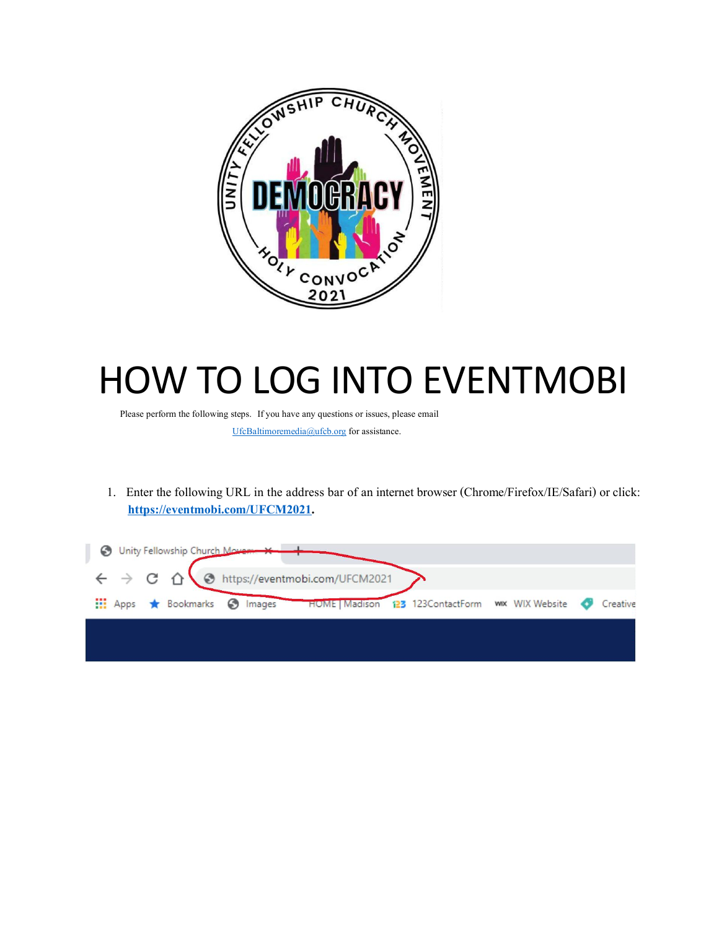

## HOW TO LOG INTO EVENTMOBI

Please perform the following steps. If you have any questions or issues, please email

UfcBaltimoremedia@ufcb.org for assistance.

1. Enter the following URL in the address bar of aninternet browser (Chrome/Firefox/IE/Safari) or click: **https://eventmobi.com/UFCM2021.**

|  | Unity Fellowship Church Movement                                              |  |  |                                                    |  |          |
|--|-------------------------------------------------------------------------------|--|--|----------------------------------------------------|--|----------|
|  | $\leftarrow$ $\rightarrow$ C' $\hat{\Omega}$ & https://eventmobi.com/UFCM2021 |  |  |                                                    |  |          |
|  | Hi Apps * Bookmarks @ Images                                                  |  |  | HOME   Madison 123 123ContactForm www. WIX Website |  | Creative |
|  |                                                                               |  |  |                                                    |  |          |
|  |                                                                               |  |  |                                                    |  |          |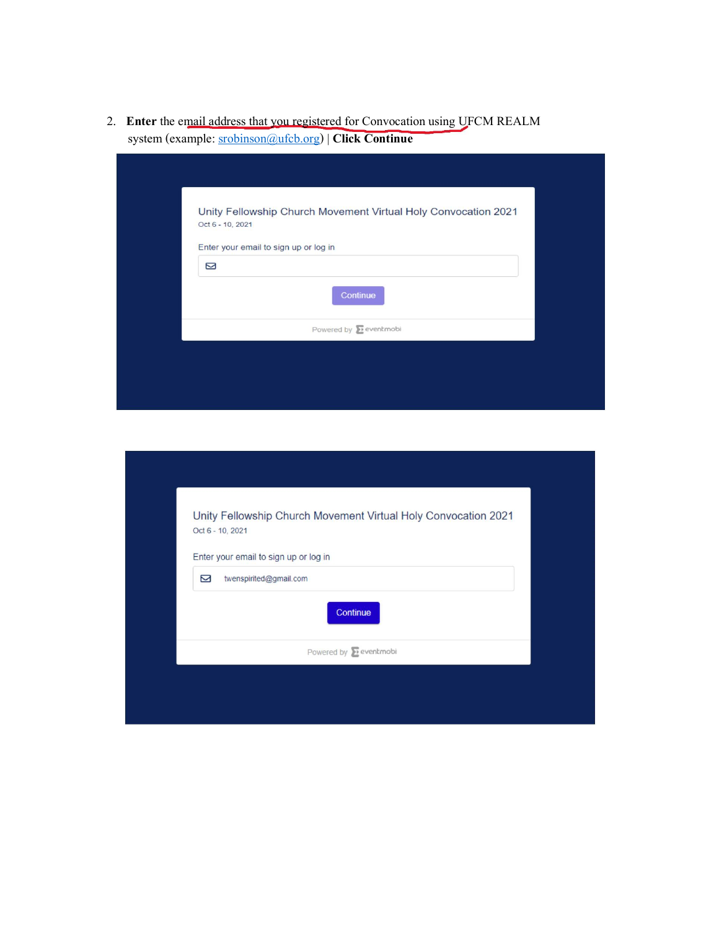2. **Enter** the email address that you registered for Convocation using UFCM REALM system (example: srobinson@ufcb.org) | **Click Continue**

| Enter your email to sign up or log in<br>Ŋ<br>Continue<br>Powered by <b>E</b> eventmobi | Oct 6 - 10, 2021 | Unity Fellowship Church Movement Virtual Holy Convocation 2021 |
|-----------------------------------------------------------------------------------------|------------------|----------------------------------------------------------------|
|                                                                                         |                  |                                                                |
|                                                                                         |                  |                                                                |
|                                                                                         |                  |                                                                |
|                                                                                         |                  |                                                                |

| Unity Fellowship Church Movement Virtual Holy Convocation 2021<br>Oct 6 - 10, 2021 |  |
|------------------------------------------------------------------------------------|--|
| Enter your email to sign up or log in                                              |  |
| Ŋ<br>twenspirited@gmail.com                                                        |  |
| Continue                                                                           |  |
| Powered by <b>E</b> eventmobi                                                      |  |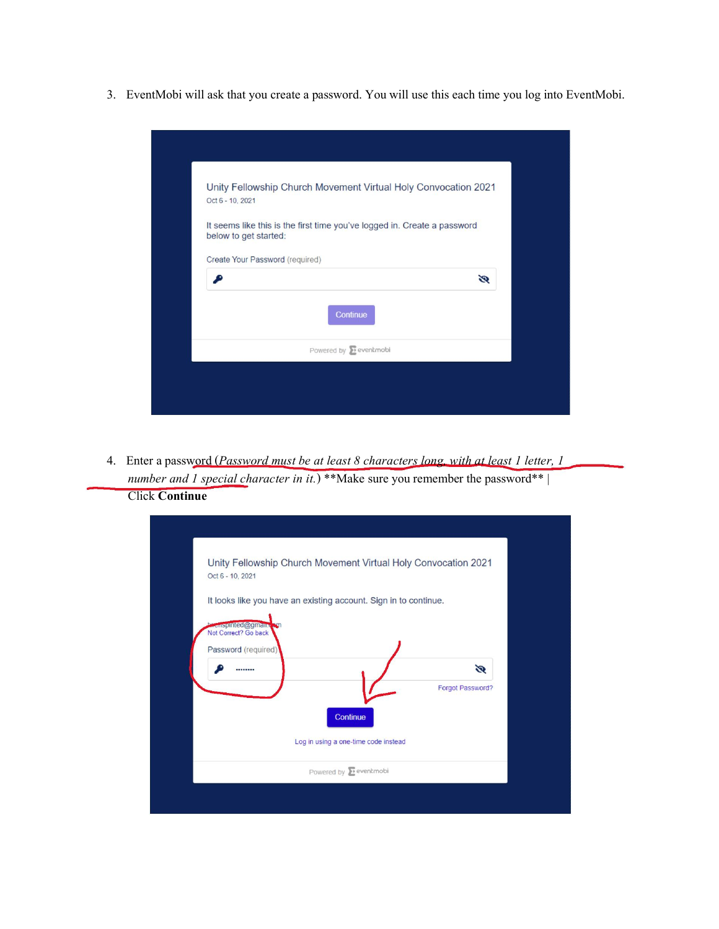3. EventMobi will ask that you create a password. You will use this each time you log into EventMobi.

| Oct 6 - 10, 2021                | Unity Fellowship Church Movement Virtual Holy Convocation 2021           |   |
|---------------------------------|--------------------------------------------------------------------------|---|
| below to get started:           | It seems like this is the first time you've logged in. Create a password |   |
| Create Your Password (required) |                                                                          |   |
|                                 |                                                                          | Ø |
|                                 | Continue                                                                 |   |
|                                 | Powered by <b>D</b> eventmobi                                            |   |

4. Enter apassword (*Password mustbe at least8 characters long, with at least 1 letter,1 number and 1 special character in it.*) \*\*Make sure you remember the password\*\*| Click **Continue**

| Oct 6 - 10, 2021                                                              | Unity Fellowship Church Movement Virtual Holy Convocation 2021<br>It looks like you have an existing account. Sign in to continue. |                  |   |
|-------------------------------------------------------------------------------|------------------------------------------------------------------------------------------------------------------------------------|------------------|---|
| <b>Wenspirited@gmail.u</b><br>Not Correct? Go back<br>Password (required)<br> |                                                                                                                                    | Forgot Password? | Q |
|                                                                               | Continue<br>Log in using a one-time code instead<br>Powered by <b>E</b> eventmobi                                                  |                  |   |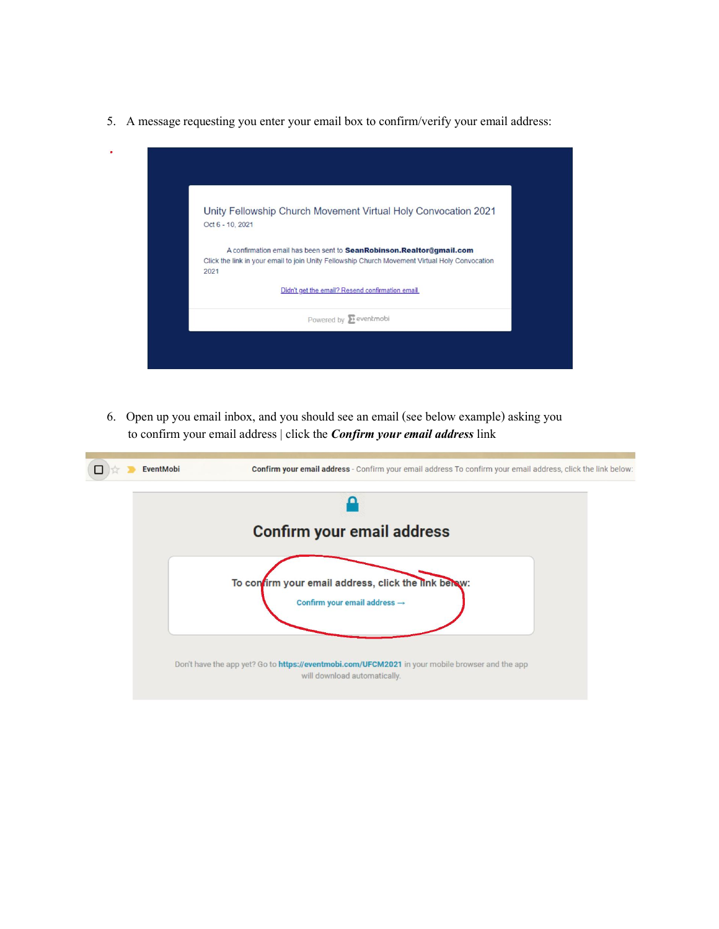5. A message requesting you enter your email box to confirm/verify your email address:

| Unity Fellowship Church Movement Virtual Holy Convocation 2021<br>Oct 6 - 10, 2021<br>A confirmation email has been sent to SeanRobinson.Realtor@gmail.com<br>Click the link in your email to join Unity Fellowship Church Movement Virtual Holy Convocation<br>2021<br>Didn't get the email? Resend confirmation email.<br>Powered by <b>E</b> eventmobi |  |
|-----------------------------------------------------------------------------------------------------------------------------------------------------------------------------------------------------------------------------------------------------------------------------------------------------------------------------------------------------------|--|
|                                                                                                                                                                                                                                                                                                                                                           |  |
|                                                                                                                                                                                                                                                                                                                                                           |  |
|                                                                                                                                                                                                                                                                                                                                                           |  |
|                                                                                                                                                                                                                                                                                                                                                           |  |

6. Open up you email inbox, and you should see anemail (see below example) askingyou to confirm your email address | click the *Confirm your email address* link